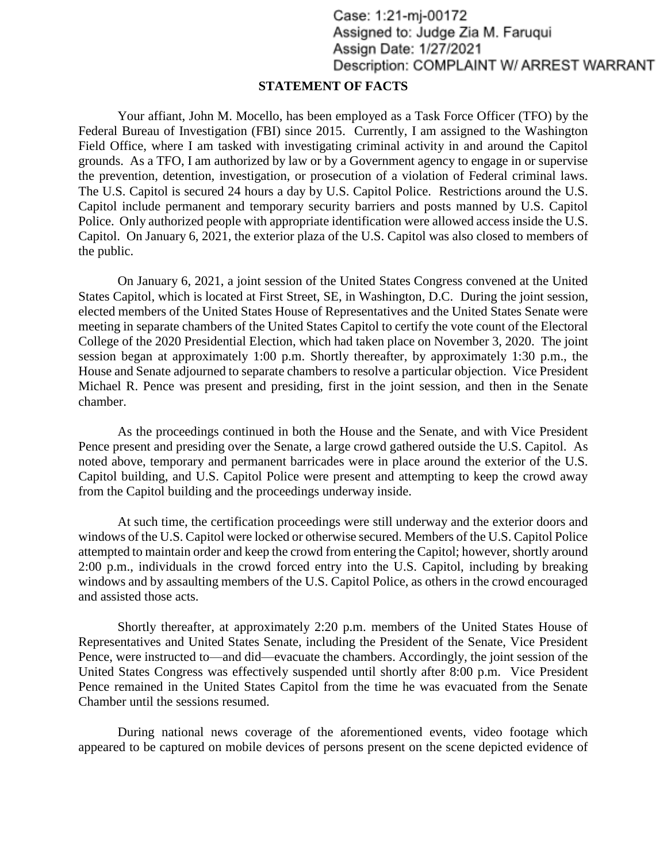## Case: 1:21-mj-00172 Assigned to: Judge Zia M. Farugui Assign Date: 1/27/2021 Description: COMPLAINT W/ ARREST WARRANT

## **STATEMENT OF FACTS**

Your affiant, John M. Mocello, has been employed as a Task Force Officer (TFO) by the Federal Bureau of Investigation (FBI) since 2015. Currently, I am assigned to the Washington Field Office, where I am tasked with investigating criminal activity in and around the Capitol grounds. As a TFO, I am authorized by law or by a Government agency to engage in or supervise the prevention, detention, investigation, or prosecution of a violation of Federal criminal laws. The U.S. Capitol is secured 24 hours a day by U.S. Capitol Police. Restrictions around the U.S. Capitol include permanent and temporary security barriers and posts manned by U.S. Capitol Police. Only authorized people with appropriate identification were allowed access inside the U.S. Capitol. On January 6, 2021, the exterior plaza of the U.S. Capitol was also closed to members of the public.

On January 6, 2021, a joint session of the United States Congress convened at the United States Capitol, which is located at First Street, SE, in Washington, D.C. During the joint session, elected members of the United States House of Representatives and the United States Senate were meeting in separate chambers of the United States Capitol to certify the vote count of the Electoral College of the 2020 Presidential Election, which had taken place on November 3, 2020. The joint session began at approximately 1:00 p.m. Shortly thereafter, by approximately 1:30 p.m., the House and Senate adjourned to separate chambers to resolve a particular objection. Vice President Michael R. Pence was present and presiding, first in the joint session, and then in the Senate chamber.

As the proceedings continued in both the House and the Senate, and with Vice President Pence present and presiding over the Senate, a large crowd gathered outside the U.S. Capitol. As noted above, temporary and permanent barricades were in place around the exterior of the U.S. Capitol building, and U.S. Capitol Police were present and attempting to keep the crowd away from the Capitol building and the proceedings underway inside.

At such time, the certification proceedings were still underway and the exterior doors and windows of the U.S. Capitol were locked or otherwise secured. Members of the U.S. Capitol Police attempted to maintain order and keep the crowd from entering the Capitol; however, shortly around 2:00 p.m., individuals in the crowd forced entry into the U.S. Capitol, including by breaking windows and by assaulting members of the U.S. Capitol Police, as others in the crowd encouraged and assisted those acts.

Shortly thereafter, at approximately 2:20 p.m. members of the United States House of Representatives and United States Senate, including the President of the Senate, Vice President Pence, were instructed to—and did—evacuate the chambers. Accordingly, the joint session of the United States Congress was effectively suspended until shortly after 8:00 p.m. Vice President Pence remained in the United States Capitol from the time he was evacuated from the Senate Chamber until the sessions resumed.

During national news coverage of the aforementioned events, video footage which appeared to be captured on mobile devices of persons present on the scene depicted evidence of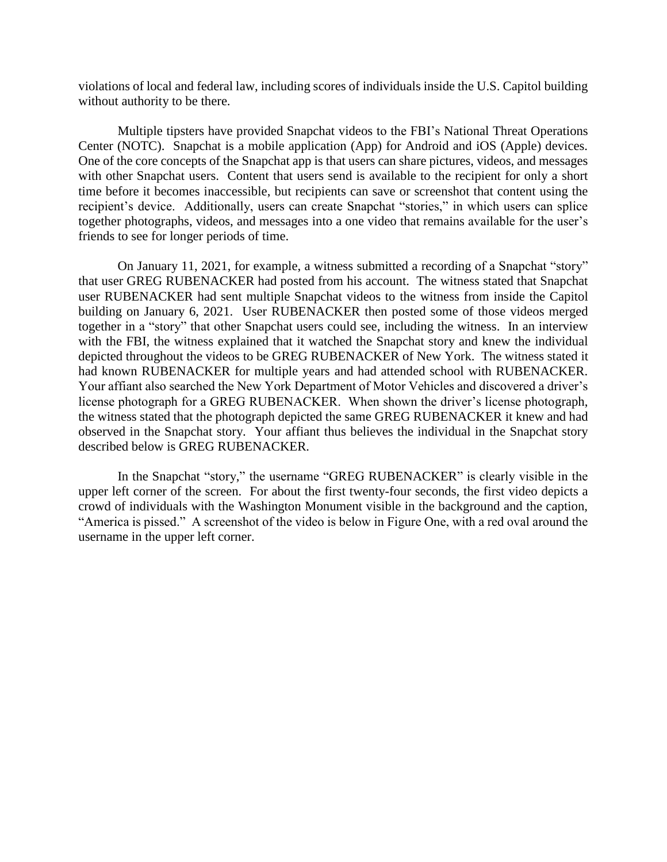violations of local and federal law, including scores of individuals inside the U.S. Capitol building without authority to be there.

Multiple tipsters have provided Snapchat videos to the FBI's National Threat Operations Center (NOTC). Snapchat is a mobile application (App) for Android and iOS (Apple) devices. One of the core concepts of the Snapchat app is that users can share pictures, videos, and messages with other Snapchat users. Content that users send is available to the recipient for only a short time before it becomes inaccessible, but recipients can save or screenshot that content using the recipient's device. Additionally, users can create Snapchat "stories," in which users can splice together photographs, videos, and messages into a one video that remains available for the user's friends to see for longer periods of time.

On January 11, 2021, for example, a witness submitted a recording of a Snapchat "story" that user GREG RUBENACKER had posted from his account. The witness stated that Snapchat user RUBENACKER had sent multiple Snapchat videos to the witness from inside the Capitol building on January 6, 2021. User RUBENACKER then posted some of those videos merged together in a "story" that other Snapchat users could see, including the witness. In an interview with the FBI, the witness explained that it watched the Snapchat story and knew the individual depicted throughout the videos to be GREG RUBENACKER of New York. The witness stated it had known RUBENACKER for multiple years and had attended school with RUBENACKER. Your affiant also searched the New York Department of Motor Vehicles and discovered a driver's license photograph for a GREG RUBENACKER. When shown the driver's license photograph, the witness stated that the photograph depicted the same GREG RUBENACKER it knew and had observed in the Snapchat story. Your affiant thus believes the individual in the Snapchat story described below is GREG RUBENACKER.

In the Snapchat "story," the username "GREG RUBENACKER" is clearly visible in the upper left corner of the screen. For about the first twenty-four seconds, the first video depicts a crowd of individuals with the Washington Monument visible in the background and the caption, "America is pissed." A screenshot of the video is below in Figure One, with a red oval around the username in the upper left corner.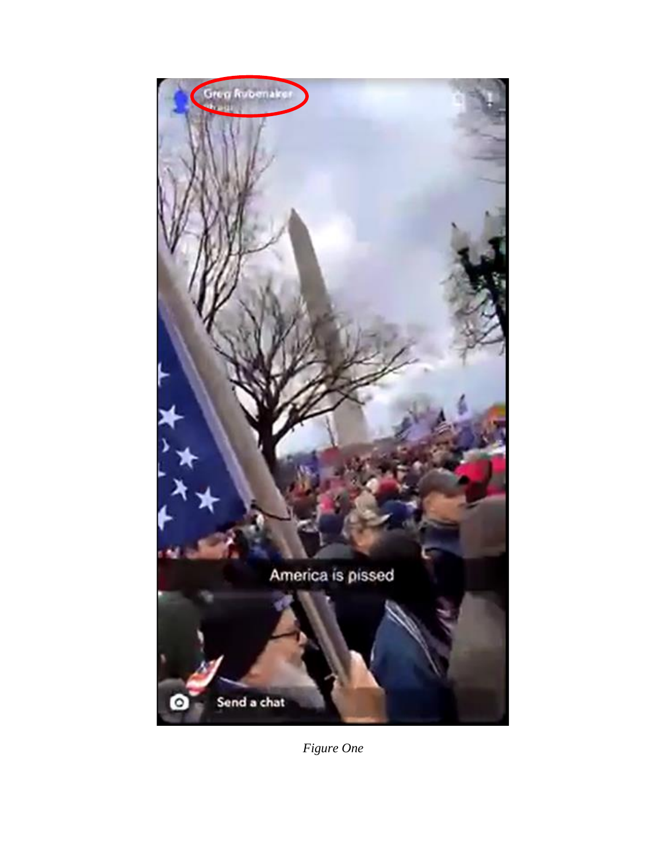

*Figure One*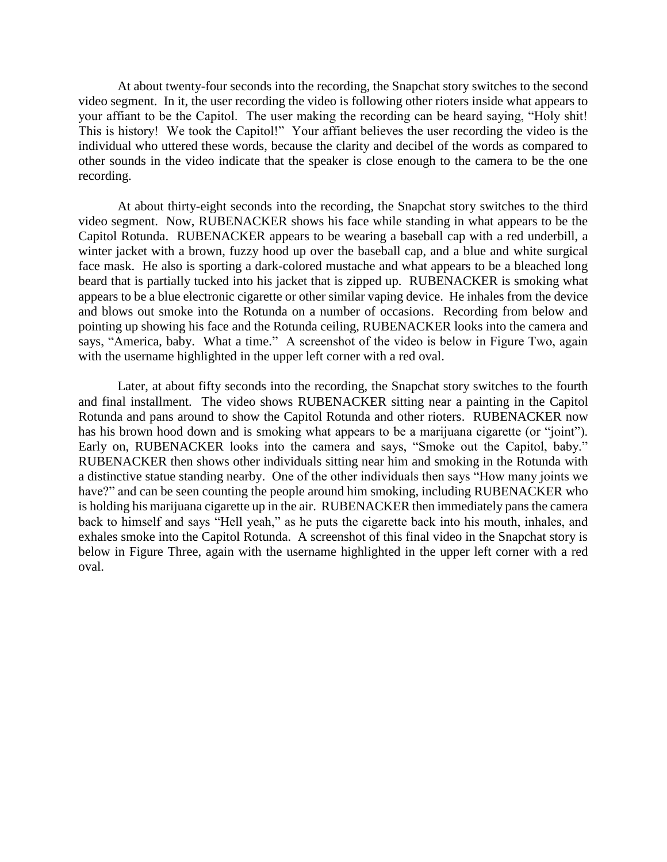At about twenty-four seconds into the recording, the Snapchat story switches to the second video segment. In it, the user recording the video is following other rioters inside what appears to your affiant to be the Capitol. The user making the recording can be heard saying, "Holy shit! This is history! We took the Capitol!" Your affiant believes the user recording the video is the individual who uttered these words, because the clarity and decibel of the words as compared to other sounds in the video indicate that the speaker is close enough to the camera to be the one recording.

At about thirty-eight seconds into the recording, the Snapchat story switches to the third video segment. Now, RUBENACKER shows his face while standing in what appears to be the Capitol Rotunda. RUBENACKER appears to be wearing a baseball cap with a red underbill, a winter jacket with a brown, fuzzy hood up over the baseball cap, and a blue and white surgical face mask. He also is sporting a dark-colored mustache and what appears to be a bleached long beard that is partially tucked into his jacket that is zipped up. RUBENACKER is smoking what appears to be a blue electronic cigarette or other similar vaping device. He inhales from the device and blows out smoke into the Rotunda on a number of occasions. Recording from below and pointing up showing his face and the Rotunda ceiling, RUBENACKER looks into the camera and says, "America, baby. What a time." A screenshot of the video is below in Figure Two, again with the username highlighted in the upper left corner with a red oval.

Later, at about fifty seconds into the recording, the Snapchat story switches to the fourth and final installment. The video shows RUBENACKER sitting near a painting in the Capitol Rotunda and pans around to show the Capitol Rotunda and other rioters. RUBENACKER now has his brown hood down and is smoking what appears to be a marijuana cigarette (or "joint"). Early on, RUBENACKER looks into the camera and says, "Smoke out the Capitol, baby." RUBENACKER then shows other individuals sitting near him and smoking in the Rotunda with a distinctive statue standing nearby. One of the other individuals then says "How many joints we have?" and can be seen counting the people around him smoking, including RUBENACKER who is holding his marijuana cigarette up in the air. RUBENACKER then immediately pans the camera back to himself and says "Hell yeah," as he puts the cigarette back into his mouth, inhales, and exhales smoke into the Capitol Rotunda. A screenshot of this final video in the Snapchat story is below in Figure Three, again with the username highlighted in the upper left corner with a red oval.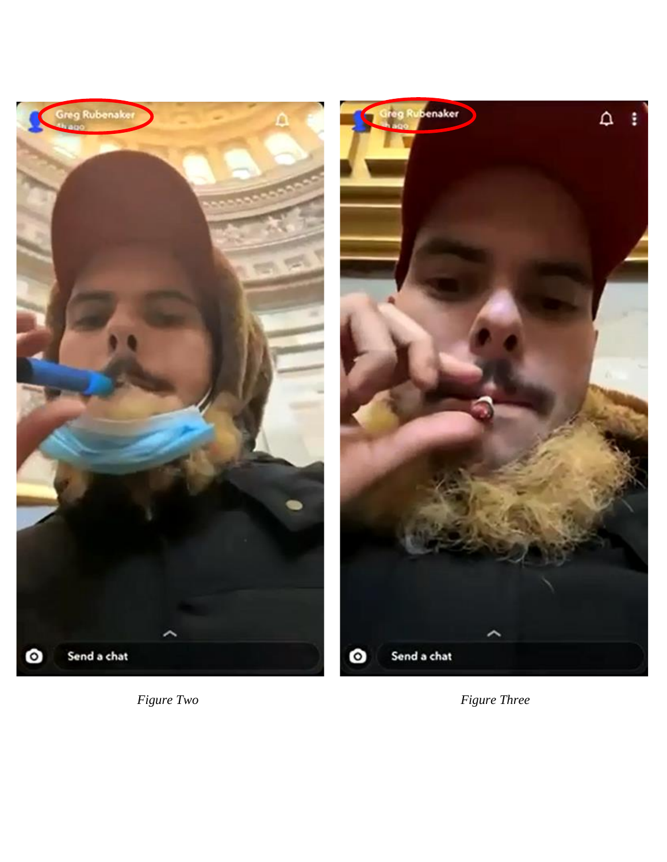